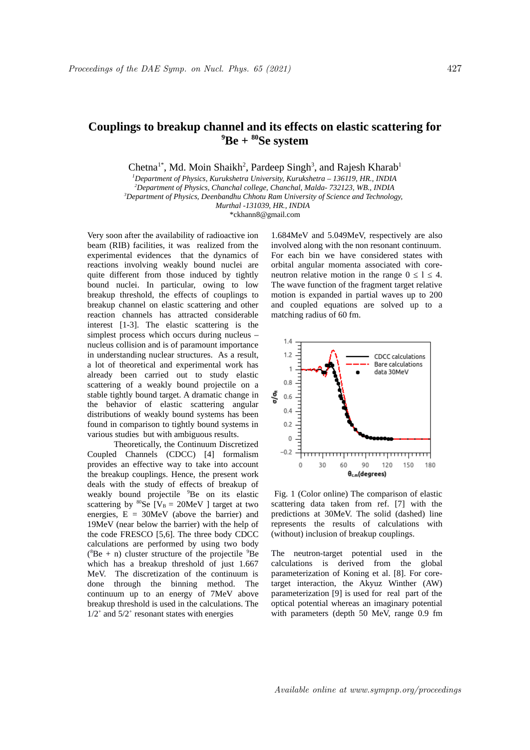## **Couplings to breakup channel and its effects on elastic scattering for <sup>9</sup>Be + <sup>80</sup>Se system**

Chetna<sup>1\*</sup>, Md. Moin Shaikh<sup>2</sup>, Pardeep Singh<sup>3</sup>, and Rajesh Kharab<sup>1</sup>

*Department of Physics, Kurukshetra University, Kurukshetra – 136119, HR., INDIA Department of Physics, Chanchal college, Chanchal, Malda- 732123, WB., INDIA Department of Physics, Deenbandhu Chhotu Ram University of Science and Technology, Murthal -131039, HR., INDIA* 

\*ckhann8@gmail.com

Very soon after the availability of radioactive ion beam (RIB) facilities, it was realized from the experimental evidences that the dynamics of reactions involving weakly bound nuclei are quite different from those induced by tightly bound nuclei. In particular, owing to low breakup threshold, the effects of couplings to breakup channel on elastic scattering and other reaction channels has attracted considerable interest [1-3]. The elastic scattering is the simplest process which occurs during nucleus – nucleus collision and is of paramount importance in understanding nuclear structures. As a result, a lot of theoretical and experimental work has already been carried out to study elastic scattering of a weakly bound projectile on a stable tightly bound target. A dramatic change in the behavior of elastic scattering angular distributions of weakly bound systems has been found in comparison to tightly bound systems in various studies but with ambiguous results.

 Theoretically, the Continuum Discretized Coupled Channels (CDCC) [4] formalism provides an effective way to take into account the breakup couplings. Hence, the present work deals with the study of effects of breakup of weakly bound projectile <sup>9</sup>Be on its elastic scattering by  $^{80}$ Se [ $V_B$  = 20MeV ] target at two energies,  $E = 30MeV$  (above the barrier) and 19MeV (near below the barrier) with the help of the code FRESCO [5,6]. The three body CDCC calculations are performed by using two body ( ${}^{8}$ Be + n) cluster structure of the projectile  ${}^{9}$ Be which has a breakup threshold of just 1.667 MeV. The discretization of the continuum is done through the binning method. The continuum up to an energy of 7MeV above breakup threshold is used in the calculations. The  $1/2^+$  and  $5/2^+$  resonant states with energies

1.684MeV and 5.049MeV, respectively are also involved along with the non resonant continuum. For each bin we have considered states with orbital angular momenta associated with coreneutron relative motion in the range  $0 \le l \le 4$ . The wave function of the fragment target relative motion is expanded in partial waves up to 200 and coupled equations are solved up to a matching radius of 60 fm.



Fig. 1 (Color online) The comparison of elastic scattering data taken from ref. [7] with the predictions at 30MeV. The solid (dashed) line represents the results of calculations with (without) inclusion of breakup couplings.

The neutron-target potential used in the calculations is derived from the global parameterization of Koning et al. [8]. For coretarget interaction, the Akyuz Winther (AW) parameterization [9] is used for real part of the optical potential whereas an imaginary potential with parameters (depth 50 MeV, range 0.9 fm